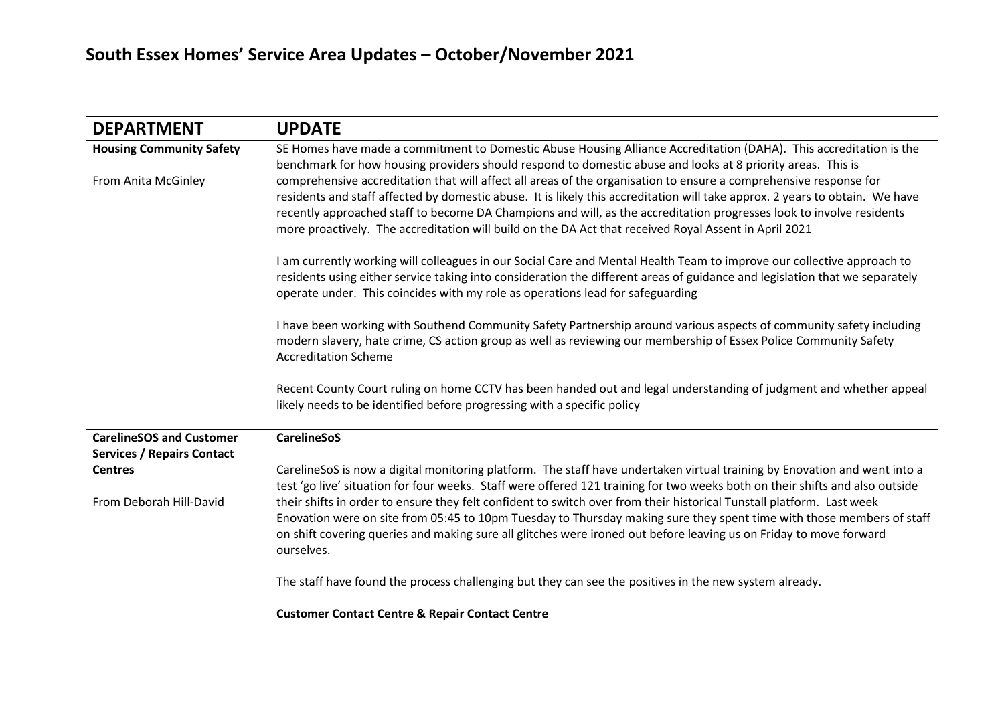| <b>DEPARTMENT</b>                                   | <b>UPDATE</b>                                                                                                                                                                                                                                                                                                                                                                                                                                                                      |
|-----------------------------------------------------|------------------------------------------------------------------------------------------------------------------------------------------------------------------------------------------------------------------------------------------------------------------------------------------------------------------------------------------------------------------------------------------------------------------------------------------------------------------------------------|
| <b>Housing Community Safety</b>                     | SE Homes have made a commitment to Domestic Abuse Housing Alliance Accreditation (DAHA). This accreditation is the<br>benchmark for how housing providers should respond to domestic abuse and looks at 8 priority areas. This is                                                                                                                                                                                                                                                  |
| From Anita McGinley                                 | comprehensive accreditation that will affect all areas of the organisation to ensure a comprehensive response for<br>residents and staff affected by domestic abuse. It is likely this accreditation will take approx. 2 years to obtain. We have<br>recently approached staff to become DA Champions and will, as the accreditation progresses look to involve residents<br>more proactively. The accreditation will build on the DA Act that received Royal Assent in April 2021 |
|                                                     | I am currently working will colleagues in our Social Care and Mental Health Team to improve our collective approach to<br>residents using either service taking into consideration the different areas of guidance and legislation that we separately<br>operate under. This coincides with my role as operations lead for safeguarding                                                                                                                                            |
|                                                     | I have been working with Southend Community Safety Partnership around various aspects of community safety including<br>modern slavery, hate crime, CS action group as well as reviewing our membership of Essex Police Community Safety<br><b>Accreditation Scheme</b>                                                                                                                                                                                                             |
|                                                     | Recent County Court ruling on home CCTV has been handed out and legal understanding of judgment and whether appeal<br>likely needs to be identified before progressing with a specific policy                                                                                                                                                                                                                                                                                      |
| <b>CarelineSOS and Customer</b>                     | <b>CarelineSoS</b>                                                                                                                                                                                                                                                                                                                                                                                                                                                                 |
| <b>Services / Repairs Contact</b><br><b>Centres</b> | CarelineSoS is now a digital monitoring platform. The staff have undertaken virtual training by Enovation and went into a<br>test 'go live' situation for four weeks. Staff were offered 121 training for two weeks both on their shifts and also outside                                                                                                                                                                                                                          |
| From Deborah Hill-David                             | their shifts in order to ensure they felt confident to switch over from their historical Tunstall platform. Last week<br>Enovation were on site from 05:45 to 10pm Tuesday to Thursday making sure they spent time with those members of staff<br>on shift covering queries and making sure all glitches were ironed out before leaving us on Friday to move forward<br>ourselves.                                                                                                 |
|                                                     | The staff have found the process challenging but they can see the positives in the new system already.                                                                                                                                                                                                                                                                                                                                                                             |
|                                                     | <b>Customer Contact Centre &amp; Repair Contact Centre</b>                                                                                                                                                                                                                                                                                                                                                                                                                         |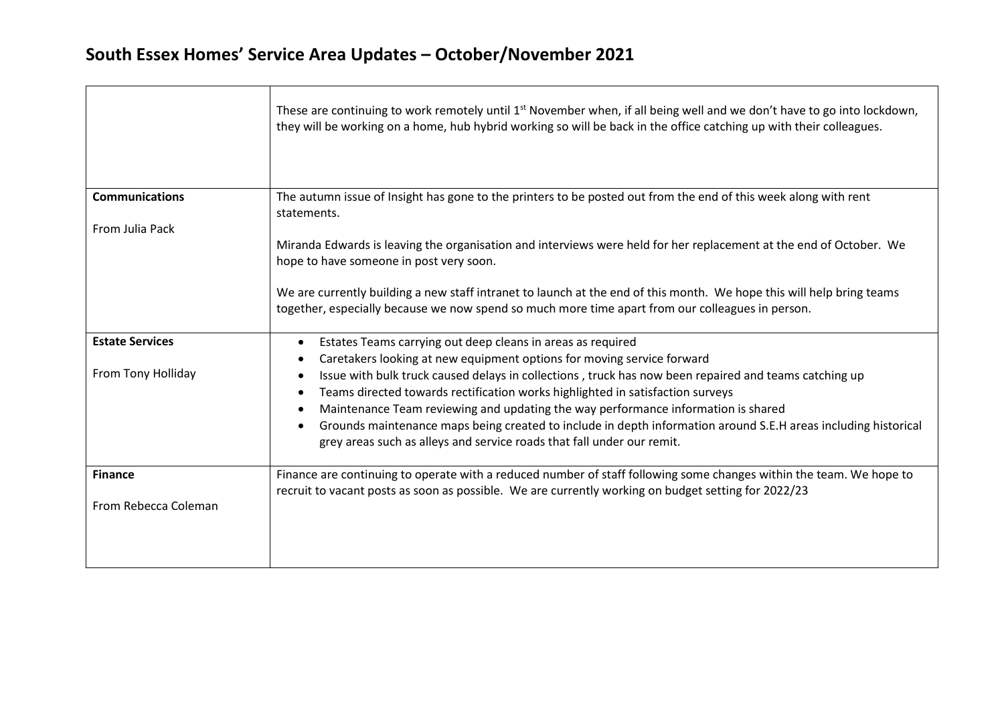## **South Essex Homes' Service Area Updates – October/November 2021**

|                        | These are continuing to work remotely until $1st$ November when, if all being well and we don't have to go into lockdown,<br>they will be working on a home, hub hybrid working so will be back in the office catching up with their colleagues.                                                                                                                                                                                                                                                                                                                |
|------------------------|-----------------------------------------------------------------------------------------------------------------------------------------------------------------------------------------------------------------------------------------------------------------------------------------------------------------------------------------------------------------------------------------------------------------------------------------------------------------------------------------------------------------------------------------------------------------|
| <b>Communications</b>  | The autumn issue of Insight has gone to the printers to be posted out from the end of this week along with rent<br>statements.                                                                                                                                                                                                                                                                                                                                                                                                                                  |
| From Julia Pack        | Miranda Edwards is leaving the organisation and interviews were held for her replacement at the end of October. We<br>hope to have someone in post very soon.                                                                                                                                                                                                                                                                                                                                                                                                   |
|                        | We are currently building a new staff intranet to launch at the end of this month. We hope this will help bring teams<br>together, especially because we now spend so much more time apart from our colleagues in person.                                                                                                                                                                                                                                                                                                                                       |
| <b>Estate Services</b> | Estates Teams carrying out deep cleans in areas as required                                                                                                                                                                                                                                                                                                                                                                                                                                                                                                     |
| From Tony Holliday     | Caretakers looking at new equipment options for moving service forward<br>Issue with bulk truck caused delays in collections, truck has now been repaired and teams catching up<br>Teams directed towards rectification works highlighted in satisfaction surveys<br>Maintenance Team reviewing and updating the way performance information is shared<br>$\bullet$<br>Grounds maintenance maps being created to include in depth information around S.E.H areas including historical<br>grey areas such as alleys and service roads that fall under our remit. |
| <b>Finance</b>         | Finance are continuing to operate with a reduced number of staff following some changes within the team. We hope to<br>recruit to vacant posts as soon as possible. We are currently working on budget setting for 2022/23                                                                                                                                                                                                                                                                                                                                      |
| From Rebecca Coleman   |                                                                                                                                                                                                                                                                                                                                                                                                                                                                                                                                                                 |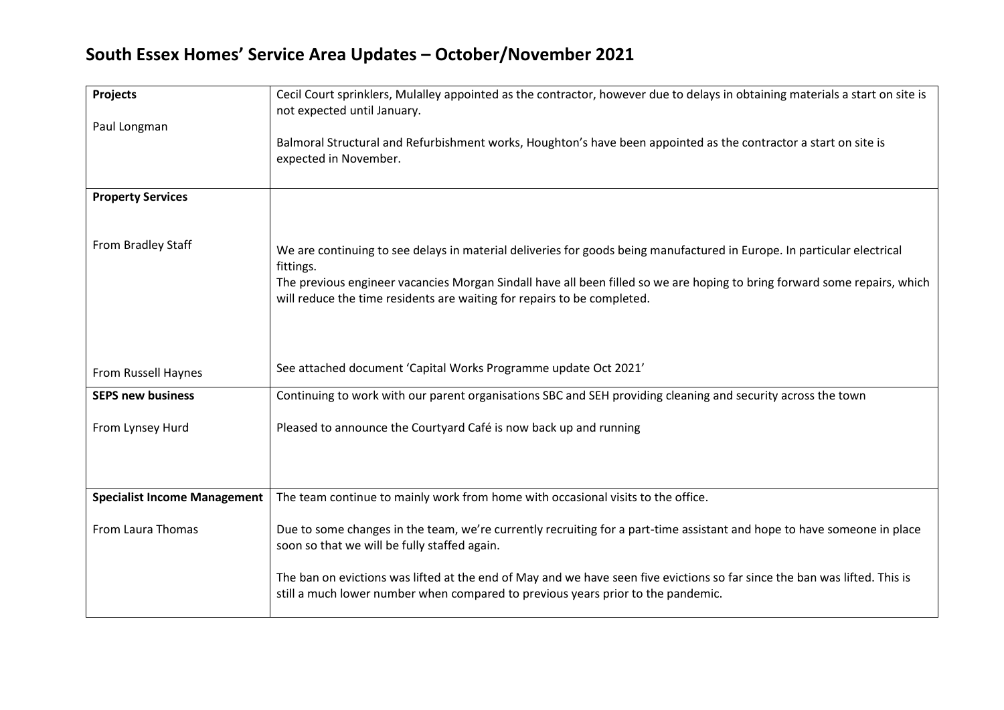## **South Essex Homes' Service Area Updates – October/November 2021**

| Projects                            | Cecil Court sprinklers, Mulalley appointed as the contractor, however due to delays in obtaining materials a start on site is<br>not expected until January.                                                                                                                                                                                 |
|-------------------------------------|----------------------------------------------------------------------------------------------------------------------------------------------------------------------------------------------------------------------------------------------------------------------------------------------------------------------------------------------|
| Paul Longman                        | Balmoral Structural and Refurbishment works, Houghton's have been appointed as the contractor a start on site is<br>expected in November.                                                                                                                                                                                                    |
| <b>Property Services</b>            |                                                                                                                                                                                                                                                                                                                                              |
| From Bradley Staff                  | We are continuing to see delays in material deliveries for goods being manufactured in Europe. In particular electrical<br>fittings.<br>The previous engineer vacancies Morgan Sindall have all been filled so we are hoping to bring forward some repairs, which<br>will reduce the time residents are waiting for repairs to be completed. |
| From Russell Haynes                 | See attached document 'Capital Works Programme update Oct 2021'                                                                                                                                                                                                                                                                              |
| <b>SEPS new business</b>            | Continuing to work with our parent organisations SBC and SEH providing cleaning and security across the town                                                                                                                                                                                                                                 |
| From Lynsey Hurd                    | Pleased to announce the Courtyard Café is now back up and running                                                                                                                                                                                                                                                                            |
|                                     |                                                                                                                                                                                                                                                                                                                                              |
| <b>Specialist Income Management</b> | The team continue to mainly work from home with occasional visits to the office.                                                                                                                                                                                                                                                             |
| From Laura Thomas                   | Due to some changes in the team, we're currently recruiting for a part-time assistant and hope to have someone in place<br>soon so that we will be fully staffed again.                                                                                                                                                                      |
|                                     | The ban on evictions was lifted at the end of May and we have seen five evictions so far since the ban was lifted. This is<br>still a much lower number when compared to previous years prior to the pandemic.                                                                                                                               |